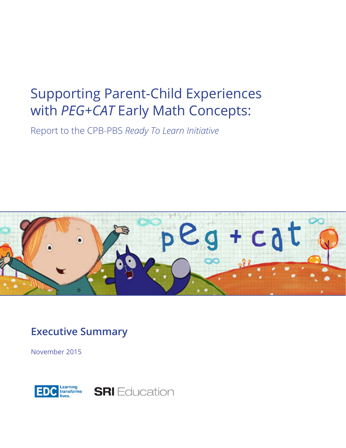# Supporting Parent-Child Experiences with *PEG+CAT* Early Math Concepts:

Report to the CPB-PBS *Ready To Learn Initiative*



**Executive Summary**

November 2015



**SRI** Education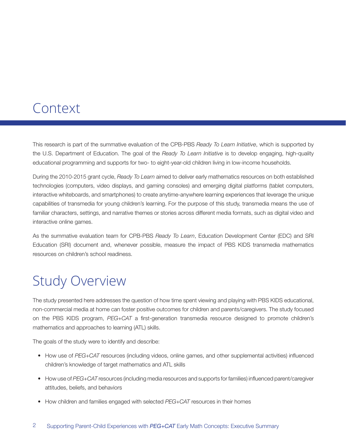### Context

This research is part of the summative evaluation of the CPB-PBS *Ready To Learn Initiative*, which is supported by the U.S. Department of Education. The goal of the *Ready To Learn Initiative* is to develop engaging, high-quality educational programming and supports for two- to eight-year-old children living in low-income households.

During the 2010-2015 grant cycle, *Ready To Learn* aimed to deliver early mathematics resources on both established technologies (computers, video displays, and gaming consoles) and emerging digital platforms (tablet computers, interactive whiteboards, and smartphones) to create anytime-anywhere learning experiences that leverage the unique capabilities of transmedia for young children's learning. For the purpose of this study, transmedia means the use of familiar characters, settings, and narrative themes or stories across different media formats, such as digital video and interactive online games.

As the summative evaluation team for CPB-PBS *Ready To Learn*, Education Development Center (EDC) and SRI Education (SRI) document and, whenever possible, measure the impact of PBS KIDS transmedia mathematics resources on children's school readiness.

## Study Overview

The study presented here addresses the question of how time spent viewing and playing with PBS KIDS educational, non-commercial media at home can foster positive outcomes for children and parents/caregivers. The study focused on the PBS KIDS program, *PEG+CAT* a first-generation transmedia resource designed to promote children's mathematics and approaches to learning (ATL) skills.

The goals of the study were to identify and describe:

- How use of *PEG+CAT* resources (including videos, online games, and other supplemental activities) influenced children's knowledge of target mathematics and ATL skills
- How use of *PEG+CAT* resources (including media resources and supports for families) influenced parent/caregiver attitudes, beliefs, and behaviors
- How children and families engaged with selected *PEG+CAT* resources in their homes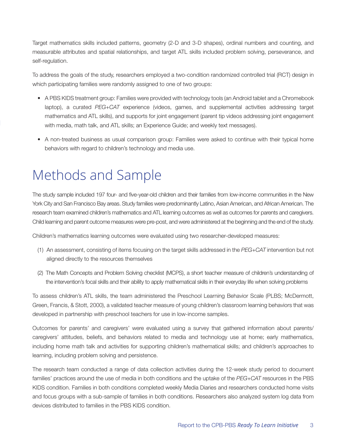Target mathematics skills included patterns, geometry (2-D and 3-D shapes), ordinal numbers and counting, and measurable attributes and spatial relationships, and target ATL skills included problem solving, perseverance, and self-regulation.

To address the goals of the study, researchers employed a two-condition randomized controlled trial (RCT) design in which participating families were randomly assigned to one of two groups:

- A PBS KIDS treatment group: Families were provided with technology tools (an Android tablet and a Chromebook laptop), a curated *PEG+CAT* experience (videos, games, and supplemental activities addressing target mathematics and ATL skills), and supports for joint engagement (parent tip videos addressing joint engagement with media, math talk, and ATL skills; an Experience Guide; and weekly text messages).
- A non-treated business as usual comparison group: Families were asked to continue with their typical home behaviors with regard to children's technology and media use.

# Methods and Sample

The study sample included 197 four- and five-year-old children and their families from low-income communities in the New York City and San Francisco Bay areas. Study families were predominantly Latino, Asian American, and African American. The research team examined children's mathematics and ATL learning outcomes as well as outcomes for parents and caregivers. Child learning and parent outcome measures were pre-post, and were administered at the beginning and the end of the study.

Children's mathematics learning outcomes were evaluated using two researcher-developed measures:

- (1) An assessment, consisting of items focusing on the target skills addressed in the *PEG+CAT* intervention but not aligned directly to the resources themselves
- (2) The Math Concepts and Problem Solving checklist (MCPS), a short teacher measure of children's understanding of the intervention's focal skills and their ability to apply mathematical skills in their everyday life when solving problems

To assess children's ATL skills, the team administered the Preschool Learning Behavior Scale (PLBS; McDermott, Green, Francis, & Stott, 2000), a validated teacher measure of young children's classroom learning behaviors that was developed in partnership with preschool teachers for use in low-income samples.

Outcomes for parents' and caregivers' were evaluated using a survey that gathered information about parents/ caregivers' attitudes, beliefs, and behaviors related to media and technology use at home; early mathematics, including home math talk and activities for supporting children's mathematical skills; and children's approaches to learning, including problem solving and persistence.

The research team conducted a range of data collection activities during the 12-week study period to document families' practices around the use of media in both conditions and the uptake of the *PEG+CAT* resources in the PBS KIDS condition. Families in both conditions completed weekly Media Diaries and researchers conducted home visits and focus groups with a sub-sample of families in both conditions. Researchers also analyzed system log data from devices distributed to families in the PBS KIDS condition.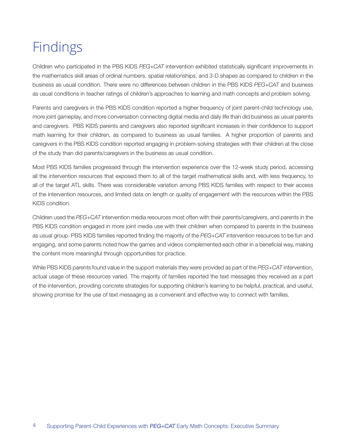# Findings

Children who participated in the PBS KIDS *PEG+CAT* intervention exhibited statistically significant improvements in the mathematics skill areas of ordinal numbers, spatial relationships, and 3-D shapes as compared to children in the business as usual condition. There were no differences between children in the PBS KIDS *PEG+CAT* and business as usual conditions in teacher ratings of children's approaches to learning and math concepts and problem solving.

Parents and caregivers in the PBS KIDS condition reported a higher frequency of joint parent-child technology use, more joint gameplay, and more conversation connecting digital media and daily life than did business as usual parents and caregivers. PBS KIDS parents and caregivers also reported significant increases in their confidence to support math learning for their children, as compared to business as usual families. A higher proportion of parents and caregivers in the PBS KIDS condition reported engaging in problem-solving strategies with their children at the close of the study than did parents/caregivers in the business as usual condition.

Most PBS KIDS families progressed through the intervention experience over the 12-week study period, accessing all the intervention resources that exposed them to all of the target mathematical skills and, with less frequency, to all of the target ATL skills. There was considerable variation among PBS KIDS families with respect to their access of the intervention resources, and limited data on length or quality of engagement with the resources within the PBS KIDS condition.

Children used the *PEG+CAT* intervention media resources most often with their parents/caregivers, and parents in the PBS KIDS condition engaged in more joint media use with their children when compared to parents in the business as usual group. PBS KIDS families reported finding the majority of the *PEG+CAT* intervention resources to be fun and engaging, and some parents noted how the games and videos complemented each other in a beneficial way, making the content more meaningful through opportunities for practice.

While PBS KIDS parents found value in the support materials they were provided as part of the *PEG+CAT* intervention, actual usage of these resources varied. The majority of families reported the text messages they received as a part of the intervention, providing concrete strategies for supporting children's learning to be helpful, practical, and useful, showing promise for the use of text messaging as a convenient and effective way to connect with families.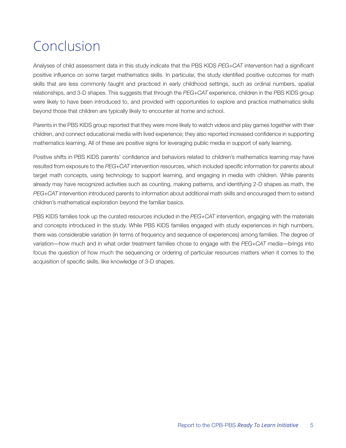# Conclusion

Analyses of child assessment data in this study indicate that the PBS KIDS *PEG+CAT* intervention had a significant positive influence on some target mathematics skills. In particular, the study identified positive outcomes for math skills that are less commonly taught and practiced in early childhood settings, such as ordinal numbers, spatial relationships, and 3-D shapes. This suggests that through the *PEG+CAT* experience, children in the PBS KIDS group were likely to have been introduced to, and provided with opportunities to explore and practice mathematics skills beyond those that children are typically likely to encounter at home and school.

Parents in the PBS KIDS group reported that they were more likely to watch videos and play games together with their children, and connect educational media with lived experience; they also reported increased confidence in supporting mathematics learning. All of these are positive signs for leveraging public media in support of early learning.

Positive shifts in PBS KIDS parents' confidence and behaviors related to children's mathematics learning may have resulted from exposure to the *PEG+CAT* intervention resources, which included specific information for parents about target math concepts, using technology to support learning, and engaging in media with children. While parents already may have recognized activities such as counting, making patterns, and identifying 2-D shapes as math, the *PEG+CAT* intervention introduced parents to information about additional math skills and encouraged them to extend children's mathematical exploration beyond the familiar basics.

PBS KIDS families took up the curated resources included in the *PEG+CAT* intervention, engaging with the materials and concepts introduced in the study. While PBS KIDS families engaged with study experiences in high numbers, there was considerable variation (in terms of frequency and sequence of experiences) among families. The degree of variation—how much and in what order treatment families chose to engage with the *PEG+CAT* media—brings into focus the question of how much the sequencing or ordering of particular resources matters when it comes to the acquisition of specific skills, like knowledge of 3-D shapes.